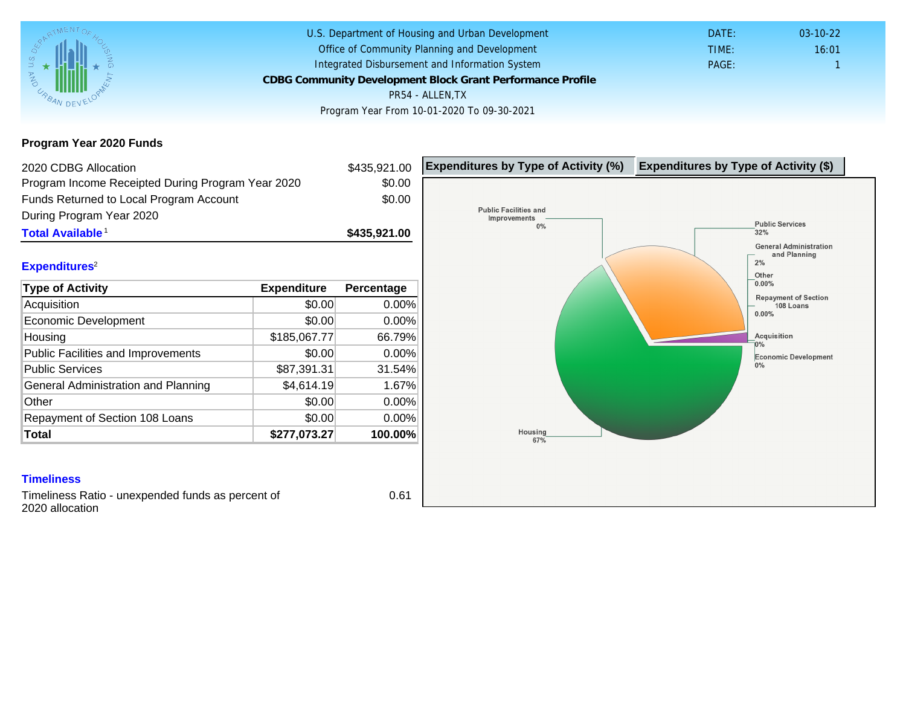Program Year 2020 Funds

| 2020 CDBG Allocation                                                 |              | \$435,921.00 | Expenditures by Type of Activity (%) | Expenditure |
|----------------------------------------------------------------------|--------------|--------------|--------------------------------------|-------------|
| Program Income Receipted During Program Year 2020                    |              | \$0.00       |                                      |             |
| Funds Returned to Local Program Account                              |              | \$0.00       |                                      |             |
| During Program Year 2020                                             |              |              |                                      |             |
| Total Available <sup>1</sup>                                         |              | \$435,921.00 |                                      |             |
|                                                                      |              |              |                                      |             |
| Expenditures <sup>2</sup>                                            |              |              |                                      |             |
| Type of Activity                                                     | Expenditure  | Percentage   |                                      |             |
| Acquisition                                                          | \$0.00       | 0.00%        |                                      |             |
| <b>Economic Development</b>                                          | \$0.00       | 0.00%        |                                      |             |
| Housing                                                              | \$185,067.77 | 66.79%       |                                      |             |
| <b>Public Facilities and Improvements</b>                            | \$0.00       | 0.00%        |                                      |             |
| <b>Public Services</b>                                               | \$87,391.31  | 31.54%       |                                      |             |
| General Administration and Planning                                  | \$4,614.19   | 1.67%        |                                      |             |
| Other                                                                | \$0.00       | 0.00%        |                                      |             |
| Repayment of Section 108 Loans                                       | \$0.00       | 0.00%        |                                      |             |
| Total                                                                | \$277,073.27 | 100.00%      |                                      |             |
|                                                                      |              |              |                                      |             |
| <b>Timeliness</b>                                                    |              |              |                                      |             |
| Timeliness Ratio - unexpended funds as percent of<br>2020 allocation |              | 0.61         |                                      |             |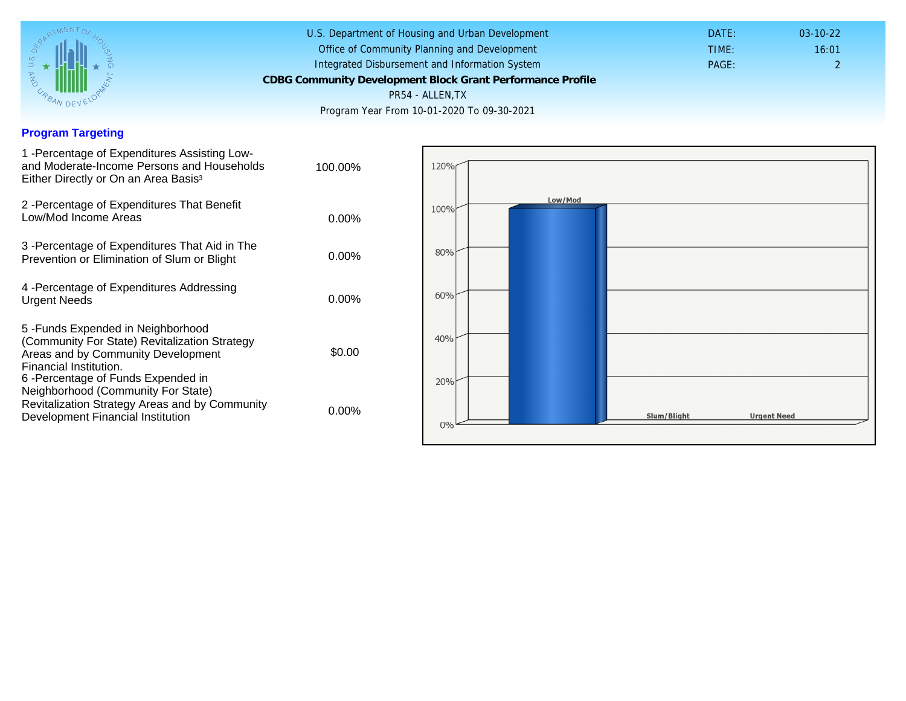## Program Targeting

| 1 -Percentage of Expenditures Assisting Low-<br>and Moderate-Income Persons and Households<br>Either Directly or On an Area Basis <sup>3</sup>                                                                               | 100.00%  |
|------------------------------------------------------------------------------------------------------------------------------------------------------------------------------------------------------------------------------|----------|
| 2 - Percentage of Expenditures That Benefit<br>Low/Mod Income Areas                                                                                                                                                          | $0.00\%$ |
| 3 - Percentage of Expenditures That Aid in The<br>Prevention or Elimination of Slum or Blight                                                                                                                                | $0.00\%$ |
| 4 - Percentage of Expenditures Addressing<br><b>Urgent Needs</b>                                                                                                                                                             | $0.00\%$ |
| 5-Funds Expended in Neighborhood<br>(Community For State) Revitalization Strategy<br>Areas and by Community Development<br>Financial Institution.<br>6-Percentage of Funds Expended in<br>Neighborhood (Community For State) | \$0.00   |
| Revitalization Strategy Areas and by Community<br>Development Financial Institution                                                                                                                                          | 0.00%    |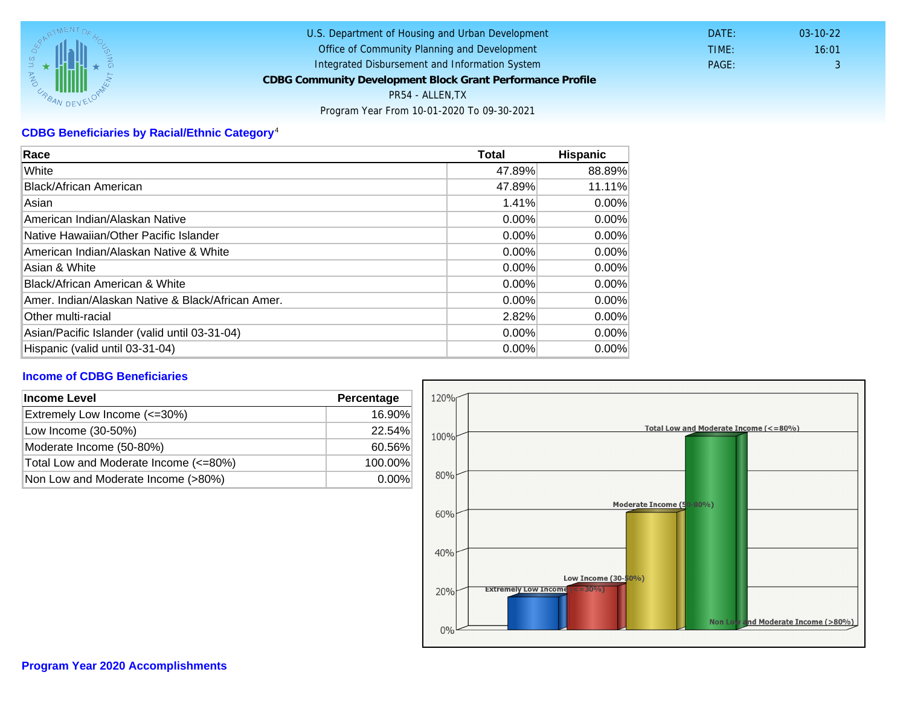## CDBG Beneficiaries by Racial/Ethnic Category <sup>4</sup>

| Race                                              | Total    | Hispanic |
|---------------------------------------------------|----------|----------|
| White                                             | 47.89%   | 88.89%   |
| Black/African American                            | 47.89%   | 11.11%   |
| Asian                                             | 1.41%    | $0.00\%$ |
| American Indian/Alaskan Native                    | 0.00%    | $0.00\%$ |
| Native Hawaiian/Other Pacific Islander            | $0.00\%$ | $0.00\%$ |
| American Indian/Alaskan Native & White            | $0.00\%$ | $0.00\%$ |
| Asian & White                                     | 0.00%    | $0.00\%$ |
| Black/African American & White                    | 0.00%    | 0.00%    |
| Amer. Indian/Alaskan Native & Black/African Amer. | $0.00\%$ | $0.00\%$ |
| <b>Other multi-racial</b>                         | 2.82%    | 0.00%    |
| Asian/Pacific Islander (valid until 03-31-04)     | $0.00\%$ | $0.00\%$ |
| Hispanic (valid until 03-31-04)                   | 0.00%    | 0.00%    |

## Income of CDBG Beneficiaries

| Income Level                          | Percentage |  |
|---------------------------------------|------------|--|
| Extremely Low Income (<=30%)          | 16.90%     |  |
| Low Income (30-50%)                   | 22.54%     |  |
| Moderate Income (50-80%)              | 60.56%     |  |
| Total Low and Moderate Income (<=80%) | 100.00%    |  |
| Non Low and Moderate Income (>80%)    | $0.00\%$   |  |